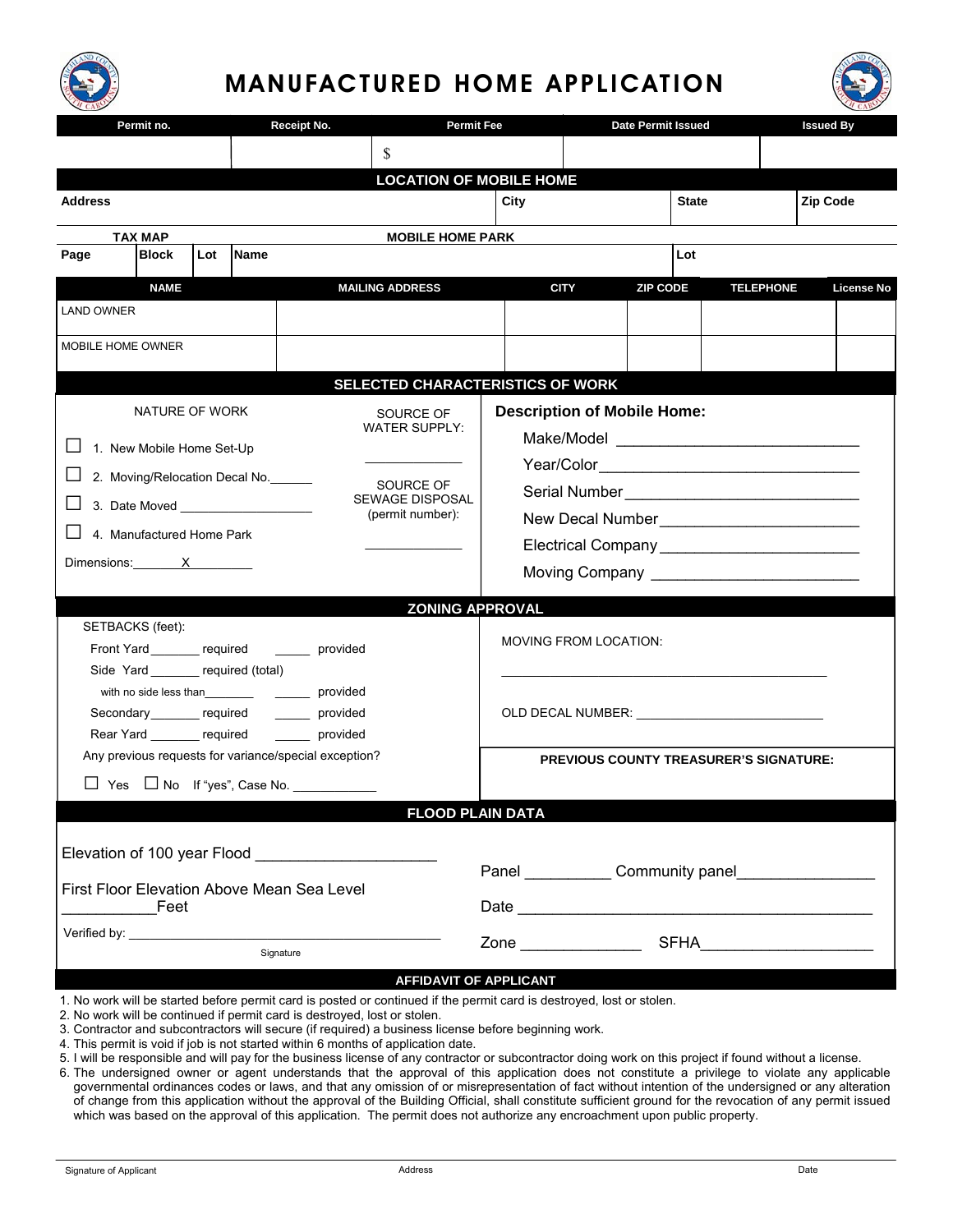

## MANUFACTURED HOME APPLICATION



| Permit no.                                                                                                            |                |  | Receipt No. |                                                      |                                            | <b>Permit Fee</b>                                                                                               |                       | <b>Date Permit Issued</b> |              | <b>Issued By</b> |                   |  |  |
|-----------------------------------------------------------------------------------------------------------------------|----------------|--|-------------|------------------------------------------------------|--------------------------------------------|-----------------------------------------------------------------------------------------------------------------|-----------------------|---------------------------|--------------|------------------|-------------------|--|--|
|                                                                                                                       |                |  |             |                                                      | S                                          |                                                                                                                 |                       |                           |              |                  |                   |  |  |
|                                                                                                                       |                |  |             |                                                      | <b>LOCATION OF MOBILE HOME</b>             |                                                                                                                 |                       |                           |              |                  |                   |  |  |
| <b>Address</b>                                                                                                        |                |  |             |                                                      |                                            | City                                                                                                            |                       |                           | <b>State</b> |                  | <b>Zip Code</b>   |  |  |
|                                                                                                                       |                |  |             | <b>MOBILE HOME PARK</b>                              |                                            |                                                                                                                 |                       |                           |              |                  |                   |  |  |
| <b>TAX MAP</b><br><b>Block</b><br>Lot<br><b>Name</b><br>Page                                                          |                |  |             |                                                      |                                            |                                                                                                                 | Lot                   |                           |              |                  |                   |  |  |
|                                                                                                                       | <b>NAME</b>    |  |             |                                                      | <b>MAILING ADDRESS</b>                     |                                                                                                                 | <b>CITY</b>           | <b>ZIP CODE</b>           |              | <b>TELEPHONE</b> | <b>License No</b> |  |  |
| <b>LAND OWNER</b>                                                                                                     |                |  |             |                                                      |                                            |                                                                                                                 |                       |                           |              |                  |                   |  |  |
|                                                                                                                       |                |  |             |                                                      |                                            |                                                                                                                 |                       |                           |              |                  |                   |  |  |
| MOBILE HOME OWNER                                                                                                     |                |  |             |                                                      |                                            |                                                                                                                 |                       |                           |              |                  |                   |  |  |
|                                                                                                                       |                |  |             |                                                      | SELECTED CHARACTERISTICS OF WORK           |                                                                                                                 |                       |                           |              |                  |                   |  |  |
|                                                                                                                       | NATURE OF WORK |  |             |                                                      | SOURCE OF                                  | <b>Description of Mobile Home:</b>                                                                              |                       |                           |              |                  |                   |  |  |
|                                                                                                                       |                |  |             |                                                      | <b>WATER SUPPLY:</b>                       |                                                                                                                 |                       |                           |              |                  |                   |  |  |
| 1. New Mobile Home Set-Up                                                                                             |                |  |             |                                                      |                                            |                                                                                                                 |                       |                           |              |                  |                   |  |  |
| 2. Moving/Relocation Decal No.                                                                                        |                |  |             |                                                      | SOURCE OF                                  |                                                                                                                 |                       |                           |              |                  |                   |  |  |
|                                                                                                                       |                |  |             |                                                      | <b>SEWAGE DISPOSAL</b><br>(permit number): |                                                                                                                 |                       |                           |              |                  |                   |  |  |
| 4. Manufactured Home Park                                                                                             |                |  |             |                                                      |                                            |                                                                                                                 |                       |                           |              |                  |                   |  |  |
| Dimensions: $X$                                                                                                       |                |  |             |                                                      |                                            |                                                                                                                 |                       |                           |              |                  |                   |  |  |
|                                                                                                                       |                |  |             |                                                      |                                            |                                                                                                                 |                       |                           |              |                  |                   |  |  |
|                                                                                                                       |                |  |             |                                                      | <b>ZONING APPROVAL</b>                     |                                                                                                                 |                       |                           |              |                  |                   |  |  |
| SETBACKS (feet):                                                                                                      |                |  |             |                                                      | <b>MOVING FROM LOCATION:</b>               |                                                                                                                 |                       |                           |              |                  |                   |  |  |
| Front Yard required<br>Side Yard ______ required (total)                                                              |                |  |             | provided                                             |                                            |                                                                                                                 |                       |                           |              |                  |                   |  |  |
|                                                                                                                       |                |  |             |                                                      |                                            |                                                                                                                 |                       |                           |              |                  |                   |  |  |
| Secondary required _______ provided                                                                                   |                |  |             |                                                      |                                            | OLD DECAL NUMBER: WE ARRIVE TO A RESIDENCE TO A REPORT OF THE SET OF THE SET OF THE SET OF THE SET OF THE SET O |                       |                           |              |                  |                   |  |  |
| Rear Yard _______ required                                                                                            |                |  |             | provided                                             |                                            |                                                                                                                 |                       |                           |              |                  |                   |  |  |
| Any previous requests for variance/special exception?                                                                 |                |  |             |                                                      |                                            | <b>PREVIOUS COUNTY TREASURER'S SIGNATURE:</b>                                                                   |                       |                           |              |                  |                   |  |  |
|                                                                                                                       |                |  |             |                                                      |                                            |                                                                                                                 |                       |                           |              |                  |                   |  |  |
| <b>FLOOD PLAIN DATA</b>                                                                                               |                |  |             |                                                      |                                            |                                                                                                                 |                       |                           |              |                  |                   |  |  |
|                                                                                                                       |                |  |             |                                                      |                                            |                                                                                                                 |                       |                           |              |                  |                   |  |  |
|                                                                                                                       |                |  |             | Elevation of 100 year Flood ________________________ |                                            |                                                                                                                 | Panel Community panel |                           |              |                  |                   |  |  |
| First Floor Elevation Above Mean Sea Level                                                                            |                |  |             |                                                      |                                            |                                                                                                                 |                       |                           |              |                  |                   |  |  |
| Feet                                                                                                                  |                |  |             |                                                      |                                            |                                                                                                                 |                       |                           |              |                  |                   |  |  |
| Signature                                                                                                             |                |  |             |                                                      |                                            |                                                                                                                 |                       |                           |              |                  |                   |  |  |
|                                                                                                                       |                |  |             |                                                      | <b>AFFIDAVIT OF APPLICANT</b>              |                                                                                                                 |                       |                           |              |                  |                   |  |  |
| 1. No work will be started before permit card is posted or continued if the permit card is destroyed, lost or stolen. |                |  |             |                                                      |                                            |                                                                                                                 |                       |                           |              |                  |                   |  |  |

- 2. No work will be continued if permit card is destroyed, lost or stolen.
- 3. Contractor and subcontractors will secure (if required) a business license before beginning work.
- 4. This permit is void if job is not started within 6 months of application date.
- 5. I will be responsible and will pay for the business license of any contractor or subcontractor doing work on this project if found without a license.
- 6. The undersigned owner or agent understands that the approval of this application does not constitute a privilege to violate any applicable governmental ordinances codes or laws, and that any omission of or misrepresentation of fact without intention of the undersigned or any alteration of change from this application without the approval of the Building Official, shall constitute sufficient ground for the revocation of any permit issued which was based on the approval of this application. The permit does not authorize any encroachment upon public property.